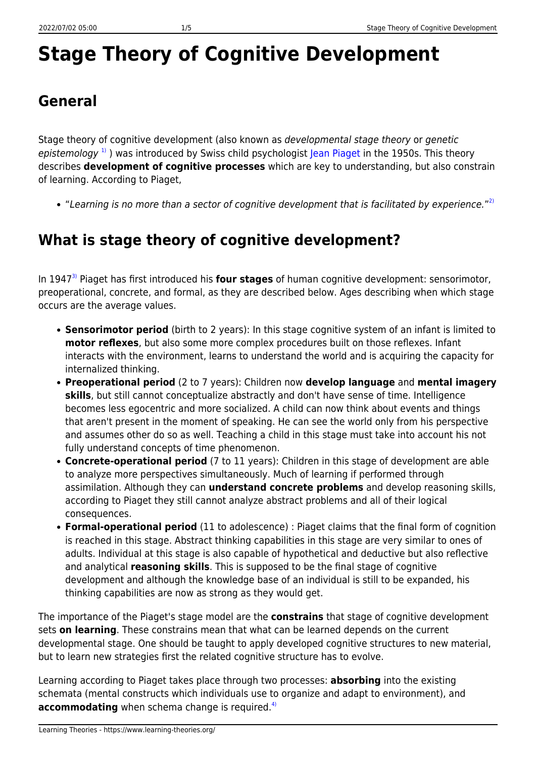# **Stage Theory of Cognitive Development**

# **General**

Stage theory of cognitive development (also known as developmental stage theory or genetic epistemology<sup>[1\)](#page--1-0)</sup>) was introduced by Swiss child psychologist [Jean Piaget](http://www.piaget.org/aboutPiaget.html) in the 1950s. This theory describes **development of cognitive processes** which are key to understanding, but also constrain of learning. According to Piaget,

"Learning is no more than a sector of cognitive development that is facilitated by experience."<sup>[2\)](#page--1-0)</sup>

# **What is stage theory of cognitive development?**

In 1947[3\)](#page--1-0) Piaget has first introduced his **four stages** of human cognitive development: sensorimotor, preoperational, concrete, and formal, as they are described below. Ages describing when which stage occurs are the average values.

- **Sensorimotor period** (birth to 2 years): In this stage cognitive system of an infant is limited to **motor reflexes**, but also some more complex procedures built on those reflexes. Infant interacts with the environment, learns to understand the world and is acquiring the capacity for internalized thinking.
- **Preoperational period** (2 to 7 years): Children now **develop language** and **mental imagery skills**, but still cannot conceptualize abstractly and don't have sense of time. Intelligence becomes less egocentric and more socialized. A child can now think about events and things that aren't present in the moment of speaking. He can see the world only from his perspective and assumes other do so as well. Teaching a child in this stage must take into account his not fully understand concepts of time phenomenon.
- **Concrete-operational period** (7 to 11 years): Children in this stage of development are able to analyze more perspectives simultaneously. Much of learning if performed through assimilation. Although they can **understand concrete problems** and develop reasoning skills, according to Piaget they still cannot analyze abstract problems and all of their logical consequences.
- **Formal-operational period** (11 to adolescence) : Piaget claims that the final form of cognition is reached in this stage. Abstract thinking capabilities in this stage are very similar to ones of adults. Individual at this stage is also capable of hypothetical and deductive but also reflective and analytical **reasoning skills**. This is supposed to be the final stage of cognitive development and although the knowledge base of an individual is still to be expanded, his thinking capabilities are now as strong as they would get.

The importance of the Piaget's stage model are the **constrains** that stage of cognitive development sets **on learning**. These constrains mean that what can be learned depends on the current developmental stage. One should be taught to apply developed cognitive structures to new material, but to learn new strategies first the related cognitive structure has to evolve.

Learning according to Piaget takes place through two processes: **absorbing** into the existing schemata (mental constructs which individuals use to organize and adapt to environment), and **accommodating** when schema change is required.<sup>[4\)](#page--1-0)</sup>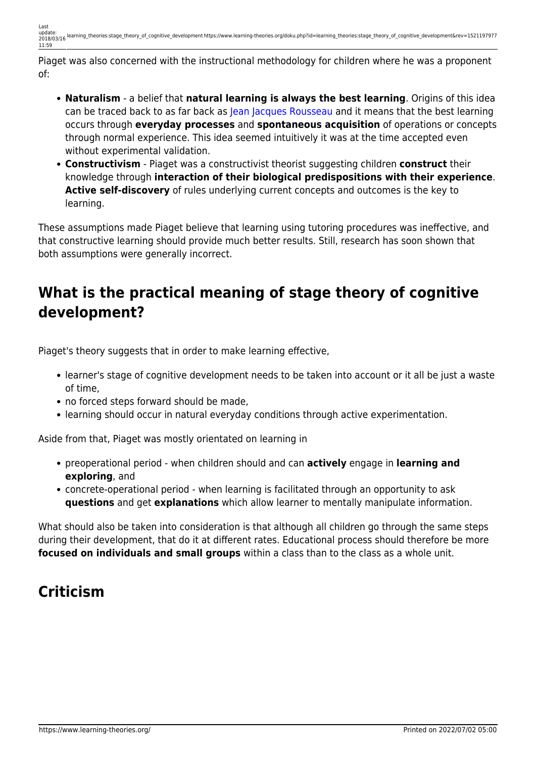Piaget was also concerned with the instructional methodology for children where he was a proponent of:

- **Naturalism** a belief that **natural learning is always the best learning**. Origins of this idea can be traced back to as far back as [Jean Jacques Rousseau](http://en.wikipedia.org/wiki/Jean-Jacques_Rousseau) and it means that the best learning occurs through **everyday processes** and **spontaneous acquisition** of operations or concepts through normal experience. This idea seemed intuitively it was at the time accepted even without experimental validation.
- **Constructivism** Piaget was a constructivist theorist suggesting children **construct** their knowledge through **interaction of their biological predispositions with their experience**. **Active self-discovery** of rules underlying current concepts and outcomes is the key to learning.

These assumptions made Piaget believe that learning using tutoring procedures was ineffective, and that constructive learning should provide much better results. Still, research has soon shown that both assumptions were generally incorrect.

## **What is the practical meaning of stage theory of cognitive development?**

Piaget's theory suggests that in order to make learning effective,

- learner's stage of cognitive development needs to be taken into account or it all be just a waste of time,
- no forced steps forward should be made,
- learning should occur in natural everyday conditions through active experimentation.

Aside from that, Piaget was mostly orientated on learning in

- preoperational period when children should and can **actively** engage in **learning and exploring**, and
- concrete-operational period when learning is facilitated through an opportunity to ask **questions** and get **explanations** which allow learner to mentally manipulate information.

What should also be taken into consideration is that although all children go through the same steps during their development, that do it at different rates. Educational process should therefore be more **focused on individuals and small groups** within a class than to the class as a whole unit.

# **Criticism**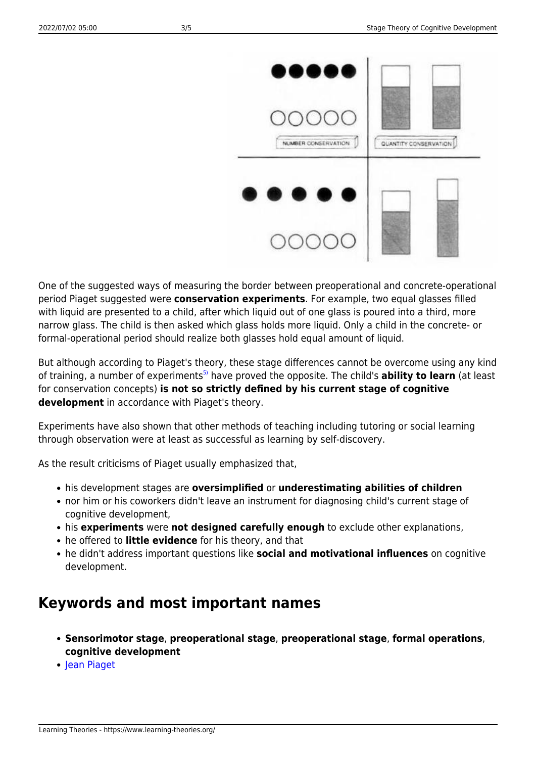

One of the suggested ways of measuring the border between preoperational and concrete-operational period Piaget suggested were **conservation experiments**. For example, two equal glasses filled with liquid are presented to a child, after which liquid out of one glass is poured into a third, more narrow glass. The child is then asked which glass holds more liquid. Only a child in the concrete- or formal-operational period should realize both glasses hold equal amount of liquid.

But although according to Piaget's theory, these stage differences cannot be overcome using any kind of training, a number of experiments<sup>[5\)](#page--1-0)</sup> have proved the opposite. The child's **ability to learn** (at least for conservation concepts) **is not so strictly defined by his current stage of cognitive development** in accordance with Piaget's theory.

Experiments have also shown that other methods of teaching including tutoring or social learning through observation were at least as successful as learning by self-discovery.

As the result criticisms of Piaget usually emphasized that,

- his development stages are **oversimplified** or **underestimating abilities of children**
- nor him or his coworkers didn't leave an instrument for diagnosing child's current stage of cognitive development,
- his **experiments** were **not designed carefully enough** to exclude other explanations,
- he offered to **little evidence** for his theory, and that
- he didn't address important questions like **social and motivational influences** on cognitive development.

### **Keywords and most important names**

- **Sensorimotor stage**, **preoperational stage**, **preoperational stage**, **formal operations**, **cognitive development**
- [Jean Piaget](http://www.piaget.org/aboutPiaget.html)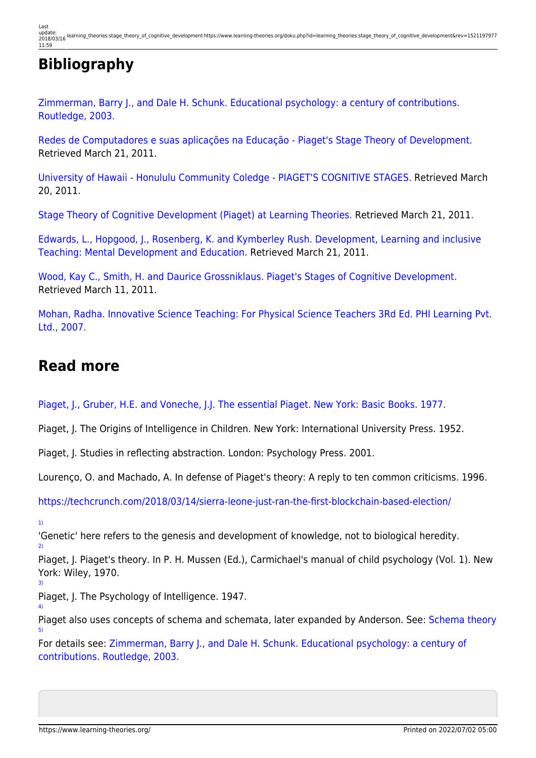## **Bibliography**

[Zimmerman, Barry J., and Dale H. Schunk. Educational psychology: a century of contributions.](http://www.scribd.com/doc/41760294/Educational-Psychology-a-Century-of-Contributions) [Routledge, 2003.](http://www.scribd.com/doc/41760294/Educational-Psychology-a-Century-of-Contributions)

[Redes de Computadores e suas aplicações na Educação - Piaget's Stage Theory of Development.](http://penta.ufrgs.br/edu/telelab/3/piaget%27s.htm) Retrieved March 21, 2011.

[University of Hawaii - Honululu Community Coledge - PIAGET'S COGNITIVE STAGES.](http://honolulu.hawaii.edu/intranet/committees/FacDevCom/guidebk/teachtip/piaget.htm) Retrieved March 20, 2011.

[Stage Theory of Cognitive Development \(Piaget\) at Learning Theories.](http://www.learning-theories.com/piagets-stage-theory-of-cognitive-development.html) Retrieved March 21, 2011.

[Edwards, L., Hopgood, J., Rosenberg, K. and Kymberley Rush. Development, Learning and inclusive](http://ehlt.flinders.edu.au/education/DLiT/2000/Piaget/begin.htm) [Teaching: Mental Development and Education.](http://ehlt.flinders.edu.au/education/DLiT/2000/Piaget/begin.htm) Retrieved March 21, 2011.

[Wood, Kay C., Smith, H. and Daurice Grossniklaus. Piaget's Stages of Cognitive Development.](http://projects.coe.uga.edu/epltt/index.php?title=Piaget%27s_Stages) Retrieved March 11, 2011.

[Mohan, Radha. Innovative Science Teaching: For Physical Science Teachers 3Rd Ed. PHI Learning Pvt.](http://books.google.hr/books?id=xCfeUdolvM4C) [Ltd., 2007.](http://books.google.hr/books?id=xCfeUdolvM4C)

### **Read more**

[Piaget, J., Gruber, H.E. and Voneche, J.J. The essential Piaget. New York: Basic Books. 1977.](http://books.google.hr/books?id=3oI9AAAAIAAJ&printsec=frontcover&dq=The+essential+Piaget&hl=hr&ei=dUWlTZTZG8jGtAa7hY2TCA&sa=X&oi=book_result&ct=result&resnum=1&ved=0CCcQ6AEwAA#v=onepage&q&f=false)

Piaget, J. The Origins of Intelligence in Children. New York: International University Press. 1952.

Piaget, J. Studies in reflecting abstraction. London: Psychology Press. 2001.

Lourenço, O. and Machado, A. In defense of Piaget's theory: A reply to ten common criticisms. 1996.

<https://techcrunch.com/2018/03/14/sierra-leone-just-ran-the-first-blockchain-based-election/>

[1\)](#page--1-0)

[3\)](#page--1-0)

[4\)](#page--1-0)

[5\)](#page--1-0)

'Genetic' here refers to the genesis and development of knowledge, not to biological heredity. [2\)](#page--1-0)

Piaget, J. Piaget's theory. In P. H. Mussen (Ed.), Carmichael's manual of child psychology (Vol. 1). New York: Wiley, 1970.

Piaget, J. The Psychology of Intelligence. 1947.

Piaget also uses concepts of schema and schemata, later expanded by Anderson. See: [Schema theory](https://www.learning-theories.org/doku.php?id=learning_theories:schema_theory)

For details see: [Zimmerman, Barry J., and Dale H. Schunk. Educational psychology: a century of](http://www.scribd.com/doc/41760294/Educational-Psychology-a-Century-of-Contributions) [contributions. Routledge, 2003.](http://www.scribd.com/doc/41760294/Educational-Psychology-a-Century-of-Contributions)